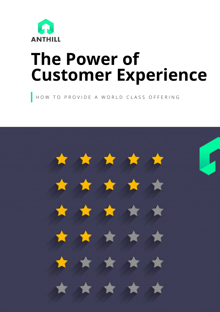

# **The Power of Customer Experience**

HOW TO PROVIDE A WORLD CLASS OFFERING

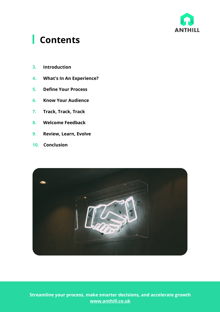

#### **Contents**

- **3. Introduction**
- **4. What's In An Experience?**
- **5. Define Your Process**
- **6. Know Your Audience**
- **7. Track, Track, Track**
- **8. Welcome Feedback**
- **9. Review, Learn, Evolve**
- **10. Conclusion**



**Streamline your process, make smarter decisions, and accelerate growth www.anthill.co.uk**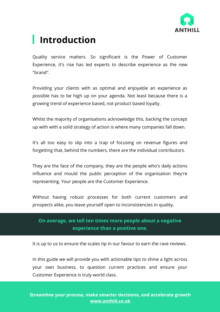

### **Introduction**

Quality service matters. So significant is the Power of Customer Experience, it's rise has led experts to describe experience as the new "brand".

Providing your clients with as optimal and enjoyable an experience as possible has to be high up on your agenda. Not least because there is a growing trend of experience based, not product based loyalty.

Whilst the majority of organisations acknowledge this, backing the concept up with with a solid strategy of action is where many companies fall down.

It's all too easy to slip into a trap of focusing on revenue figures and forgetting that, behind the numbers, there are the individual contributors.

They are the face of the company, they are the people who's daily actions influence and mould the public perception of the organisation they're representing. Your people are the Customer Experience.

Without having robust processes for both current customers and prospects alike, you leave yourself open to inconsistencies in quality.

#### **On average, we tell ten times more people about a negative experience than a positive one.**

It is up to us to ensure the scales tip in our favour to earn the rave reviews.

In this guide we will provide you with actionable tips to shine a light across your own business, to question current practices and ensure your Customer Experience is truly world class.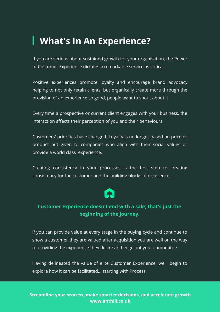#### **What's In An Experience?**

If you are serious about sustained growth for your organisation, the Power of Customer Experience dictates a remarkable service as critical.

Positive experiences promote loyalty and encourage brand advocacy helping to not only retain clients, but organically create more through the provision of an experience so good, people want to shout about it.

Every time a prospective or current client engages with your business, the interaction affects their perception of you and their behaviours.

Customers' priorities have changed. Loyalty is no longer based on price or product but given to companies who align with their social values or provide a world class experience.

Creating consistency in your processes is the first step to creating consistency for the customer and the building blocks of excellence.

#### **Customer Experience doesn't end with a sale; that's just the beginning of the journey.**

If you can provide value at every stage in the buying cycle and continue to show a customer they are valued after acquisition you are well on the way to providing the experience they desire and edge out your competitors.

Having delineated the value of elite Customer Experience, we'll begin to explore how it can be facilitated... starting with Process.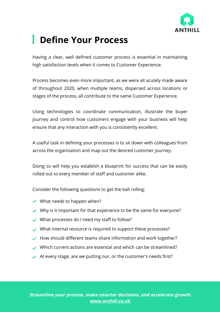

### **Define Your Process**

Having a clear, well defined customer process is essential in maintaining high satisfaction levels when it comes to Customer Experience.

Process becomes even more important, as we were all acutely made aware of throughout 2020, when multiple teams, dispersed across locations or stages of the process, all contribute to the same Customer Experience.

Using technologies to coordinate communication, illustrate the buyer journey and control how customers engage with your business will help ensure that any interaction with you is consistently excellent.

A useful task in defining your processes is to sit down with colleagues from across the organisation and map out the desired customer journey.

Doing so will help you establish a blueprint for success that can be easily rolled out to every member of staff and customer alike.

Consider the following questions to get the ball rolling:

- $\vee$  What needs to happen when?
- $\vee$  Why is it important for that experience to be the same for everyone?
- What processes do I need my staff to follow?
- What internal resource is required to support these processes?
- $\blacktriangleright$  How should different teams share information and work together?
- Which current actions are essential and which can be streamlined?
- $\blacktriangleright$  At every stage, are we putting our, or the customer's needs first?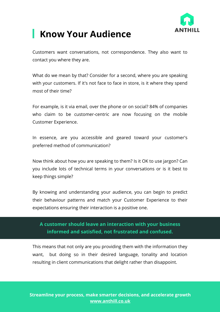

### **Know Your Audience**

Customers want conversations, not correspondence. They also want to contact you where they are.

What do we mean by that? Consider for a second, where you are speaking with your customers. If it's not face to face in store, is it where they spend most of their time?

For example, is it via email, over the phone or on social? 84% of companies who claim to be customer-centric are now focusing on the mobile Customer Experience.

In essence, are you accessible and geared toward your customer's preferred method of communication?

Now think about how you are speaking to them? Is it OK to use jargon? Can you include lots of technical terms in your conversations or is it best to keep things simple?

By knowing and understanding your audience, you can begin to predict their behaviour patterns and match your Customer Experience to their expectations ensuring their interaction is a positive one.

#### **A customer should leave an interaction with your business informed and satisfied, not frustrated and confused.**

This means that not only are you providing them with the information they want, but doing so in their desired language, tonality and location resulting in client communications that delight rather than disappoint.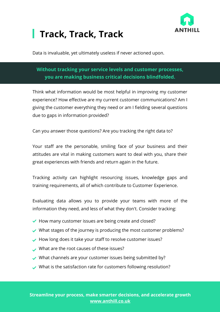

### **Track, Track, Track**

Data is invaluable, yet ultimately useless if never actioned upon.

#### **Without tracking your service levels and customer processes, you are making business critical decisions blindfolded.**

Think what information would be most helpful in improving my customer experience? How effective are my current customer communications? Am I giving the customer everything they need or am I fielding several questions due to gaps in information provided?

Can you answer those questions? Are you tracking the right data to?

Your staff are the personable, smiling face of your business and their attitudes are vital in making customers want to deal with you, share their great experiences with friends and return again in the future.

Tracking activity can highlight resourcing issues, knowledge gaps and training requirements, all of which contribute to Customer Experience.

Evaluating data allows you to provide your teams with more of the information they need, and less of what they don't. Consider tracking:

- $\blacktriangleright$  How many customer issues are being create and closed?
- $\vee$  What stages of the journey is producing the most customer problems?
- How long does it take your staff to resolve customer issues?
- What are the root causes of these issues?
- What channels are your customer issues being submitted by?
- What is the satisfaction rate for customers following resolution?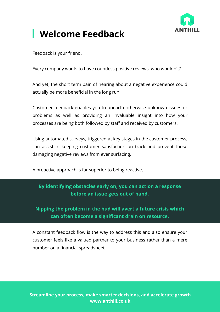

### **Welcome Feedback**

Feedback is your friend.

Every company wants to have countless positive reviews, who wouldn't?

And yet, the short term pain of hearing about a negative experience could actually be more beneficial in the long run.

Customer feedback enables you to unearth otherwise unknown issues or problems as well as providing an invaluable insight into how your processes are being both followed by staff and received by customers.

Using automated surveys, triggered at key stages in the customer process, can assist in keeping customer satisfaction on track and prevent those damaging negative reviews from ever surfacing.

A proactive approach is far superior to being reactive.

#### **By identifying obstacles early on, you can action a response before an issue gets out of hand.**

**Nipping the problem in the bud will avert a future crisis which can often become a significant drain on resource.**

A constant feedback flow is the way to address this and also ensure your customer feels like a valued partner to your business rather than a mere number on a financial spreadsheet.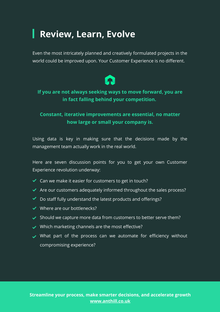### **Review, Learn, Evolve**

Even the most intricately planned and creatively formulated projects in the world could be improved upon. Your Customer Experience is no different.



#### **If you are not always seeking ways to move forward, you are in fact falling behind your competition.**

#### **Constant, iterative improvements are essential, no matter how large or small your company is.**

Using data is key in making sure that the decisions made by the management team actually work in the real world.

Here are seven discussion points for you to get your own Customer Experience revolution underway:

- $\triangleleft$  Can we make it easier for customers to get in touch?
- $\blacktriangleright$  Are our customers adequately informed throughout the sales process?
- ◆ Do staff fully understand the latest products and offerings?
- $\vee$  Where are our bottlenecks?
- $\blacktriangleright$  Should we capture more data from customers to better serve them?
- $\vee$  Which marketing channels are the most effective?
- $\vee$  What part of the process can we automate for efficiency without compromising experience?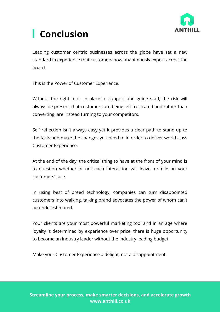

## **Conclusion**

Leading customer centric businesses across the globe have set a new standard in experience that customers now unanimously expect across the board.

This is the Power of Customer Experience.

Without the right tools in place to support and guide staff, the risk will always be present that customers are being left frustrated and rather than converting, are instead turning to your competitors.

Self reflection isn't always easy yet it provides a clear path to stand up to the facts and make the changes you need to in order to deliver world class Customer Experience.

At the end of the day, the critical thing to have at the front of your mind is to question whether or not each interaction will leave a smile on your customers' face.

In using best of breed technology, companies can turn disappointed customers into walking, talking brand advocates the power of whom can't be underestimated.

Your clients are your most powerful marketing tool and in an age where loyalty is determined by experience over price, there is huge opportunity to become an industry leader without the industry leading budget.

Make your Customer Experience a delight, not a disappointment.